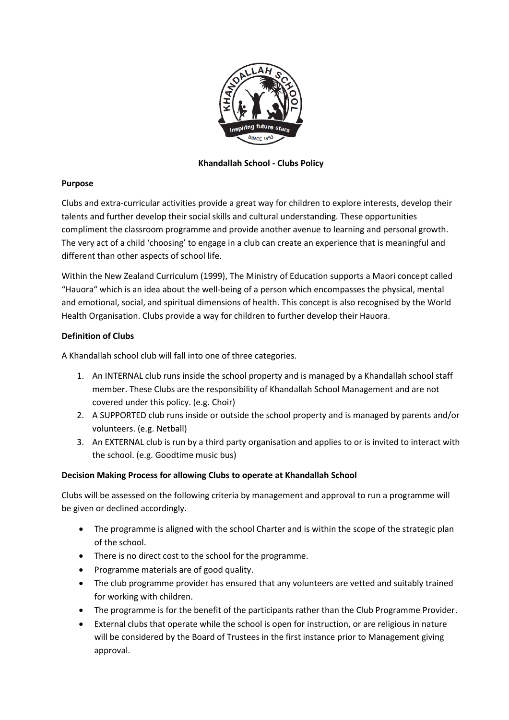

## **Khandallah School - Clubs Policy**

## **Purpose**

Clubs and extra-curricular activities provide a great way for children to explore interests, develop their talents and further develop their social skills and cultural understanding. These opportunities compliment the classroom programme and provide another avenue to learning and personal growth. The very act of a child 'choosing' to engage in a club can create an experience that is meaningful and different than other aspects of school life.

Within the New Zealand Curriculum (1999), The Ministry of Education supports a Maori concept called "Hauora" which is an idea about the well-being of a person which encompasses the physical, mental and emotional, social, and spiritual dimensions of health. This concept is also recognised by the World Health Organisation. Clubs provide a way for children to further develop their Hauora.

# **Definition of Clubs**

A Khandallah school club will fall into one of three categories.

- 1. An INTERNAL club runs inside the school property and is managed by a Khandallah school staff member. These Clubs are the responsibility of Khandallah School Management and are not covered under this policy. (e.g. Choir)
- 2. A SUPPORTED club runs inside or outside the school property and is managed by parents and/or volunteers. (e.g. Netball)
- 3. An EXTERNAL club is run by a third party organisation and applies to or is invited to interact with the school. (e.g. Goodtime music bus)

## **Decision Making Process for allowing Clubs to operate at Khandallah School**

Clubs will be assessed on the following criteria by management and approval to run a programme will be given or declined accordingly.

- The programme is aligned with the school Charter and is within the scope of the strategic plan of the school.
- There is no direct cost to the school for the programme.
- Programme materials are of good quality.
- The club programme provider has ensured that any volunteers are vetted and suitably trained for working with children.
- The programme is for the benefit of the participants rather than the Club Programme Provider.
- External clubs that operate while the school is open for instruction, or are religious in nature will be considered by the Board of Trustees in the first instance prior to Management giving approval.